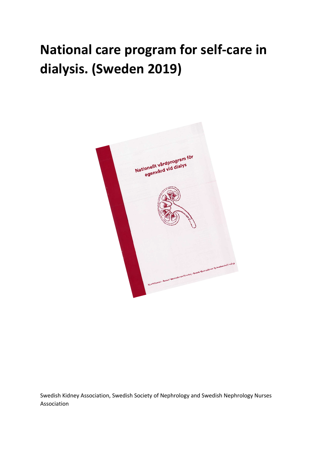# **National care program for self-care in dialysis. (Sweden 2019)**



Swedish Kidney Association, Swedish Society of Nephrology and Swedish Nephrology Nurses Association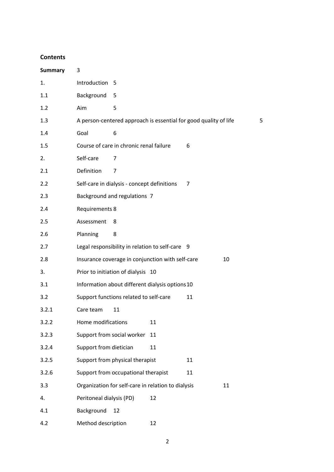#### **Contents**

| <b>Summary</b> | 3                                                                |    |
|----------------|------------------------------------------------------------------|----|
| 1.             | Introduction 5                                                   |    |
| 1.1            | Background<br>5                                                  |    |
| 1.2            | 5<br>Aim                                                         |    |
| 1.3            | A person-centered approach is essential for good quality of life | 5  |
| 1.4            | Goal<br>6                                                        |    |
| 1.5            | Course of care in chronic renal failure<br>6                     |    |
| 2.             | Self-care<br>7                                                   |    |
| 2.1            | Definition<br>$\overline{7}$                                     |    |
| 2.2            | Self-care in dialysis - concept definitions<br>7                 |    |
| 2.3            | Background and regulations 7                                     |    |
| 2.4            | Requirements 8                                                   |    |
| 2.5            | Assessment<br>8                                                  |    |
| 2.6            | Planning<br>8                                                    |    |
| 2.7            | Legal responsibility in relation to self-care 9                  |    |
| 2.8            | Insurance coverage in conjunction with self-care                 | 10 |
| 3.             | Prior to initiation of dialysis 10                               |    |
| 3.1            | Information about different dialysis options 10                  |    |
| 3.2            | Support functions related to self-care<br>11                     |    |
| 3.2.1          | Care team<br>11                                                  |    |
| 3.2.2          | Home modifications<br>11                                         |    |
| 3.2.3          | Support from social worker<br>11                                 |    |
| 3.2.4          | Support from dietician<br>11                                     |    |
| 3.2.5          | Support from physical therapist<br>11                            |    |
| 3.2.6          | Support from occupational therapist<br>11                        |    |
| 3.3            | Organization for self-care in relation to dialysis               | 11 |
| 4.             | Peritoneal dialysis (PD)<br>12                                   |    |
| 4.1            | Background<br>12                                                 |    |
| 4.2            | Method description<br>12                                         |    |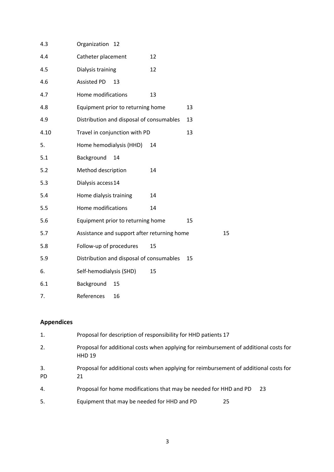| 4.3  | Organization 12                             |    |    |    |
|------|---------------------------------------------|----|----|----|
| 4.4  | Catheter placement                          | 12 |    |    |
| 4.5  | Dialysis training                           | 12 |    |    |
| 4.6  | <b>Assisted PD</b><br>13                    |    |    |    |
| 4.7  | Home modifications                          | 13 |    |    |
| 4.8  | Equipment prior to returning home           |    | 13 |    |
| 4.9  | Distribution and disposal of consumables    |    | 13 |    |
| 4.10 | Travel in conjunction with PD               |    | 13 |    |
| 5.   | Home hemodialysis (HHD)                     | 14 |    |    |
| 5.1  | Background<br>14                            |    |    |    |
| 5.2  | Method description                          | 14 |    |    |
| 5.3  | Dialysis access 14                          |    |    |    |
| 5.4  | Home dialysis training                      | 14 |    |    |
| 5.5  | Home modifications                          | 14 |    |    |
| 5.6  | Equipment prior to returning home           |    | 15 |    |
| 5.7  | Assistance and support after returning home |    |    | 15 |
| 5.8  | Follow-up of procedures                     | 15 |    |    |
| 5.9  | Distribution and disposal of consumables    |    | 15 |    |
| 6.   | Self-hemodialysis (SHD)                     | 15 |    |    |
| 6.1  | Background<br>15                            |    |    |    |
| 7.   | References<br>16                            |    |    |    |

# **Appendices**

| 1.              | Proposal for description of responsibility for HHD patients 17                                         |  |
|-----------------|--------------------------------------------------------------------------------------------------------|--|
| 2.              | Proposal for additional costs when applying for reimbursement of additional costs for<br><b>HHD 19</b> |  |
| 3.<br><b>PD</b> | Proposal for additional costs when applying for reimbursement of additional costs for<br>21            |  |
| 4.              | Proposal for home modifications that may be needed for HHD and PD<br>23                                |  |
| 5.              | Equipment that may be needed for HHD and PD<br>25                                                      |  |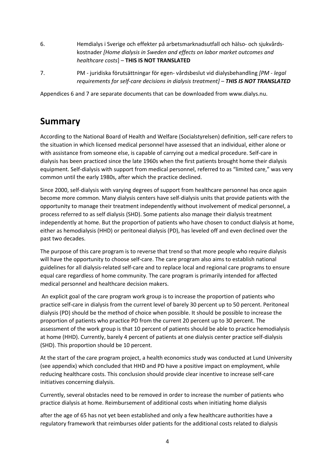- 6. Hemdialys i Sverige och effekter på arbetsmarknadsutfall och hälso- och sjukvårdskostnader *[Home dialysis in Sweden and effects on labor market outcomes and healthcare costs*] – **THIS IS NOT TRANSLATED**
- 7. PM juridiska förutsättningar för egen- vårdsbeslut vid dialysbehandling *[PM - legal requirements for self-care decisions in dialysis treatment] – THIS IS NOT TRANSLATED*

Appendices 6 and 7 are separate documents that can be downloaded from www.dialys.nu.

# **Summary**

According to the National Board of Health and Welfare (Socialstyrelsen) definition, self-care refers to the situation in which licensed medical personnel have assessed that an individual, either alone or with assistance from someone else, is capable of carrying out a medical procedure. Self-care in dialysis has been practiced since the late 1960s when the first patients brought home their dialysis equipment. Self-dialysis with support from medical personnel, referred to as "limited care," was very common until the early 1980s, after which the practice declined.

Since 2000, self-dialysis with varying degrees of support from healthcare personnel has once again become more common. Many dialysis centers have self-dialysis units that provide patients with the opportunity to manage their treatment independently without involvement of medical personnel, a process referred to as self dialysis (SHD). Some patients also manage their dialysis treatment independently at home. But the proportion of patients who have chosen to conduct dialysis at home, either as hemodialysis (HHD) or peritoneal dialysis (PD), has leveled off and even declined over the past two decades.

The purpose of this care program is to reverse that trend so that more people who require dialysis will have the opportunity to choose self-care. The care program also aims to establish national guidelines for all dialysis-related self-care and to replace local and regional care programs to ensure equal care regardless of home community. The care program is primarily intended for affected medical personnel and healthcare decision makers.

An explicit goal of the care program work group is to increase the proportion of patients who practice self-care in dialysis from the current level of barely 30 percent up to 50 percent. Peritoneal dialysis (PD) should be the method of choice when possible. It should be possible to increase the proportion of patients who practice PD from the current 20 percent up to 30 percent. The assessment of the work group is that 10 percent of patients should be able to practice hemodialysis at home (HHD). Currently, barely 4 percent of patients at one dialysis center practice self-dialysis (SHD). This proportion should be 10 percent.

At the start of the care program project, a health economics study was conducted at Lund University (see appendix) which concluded that HHD and PD have a positive impact on employment, while reducing healthcare costs. This conclusion should provide clear incentive to increase self-care initiatives concerning dialysis.

Currently, several obstacles need to be removed in order to increase the number of patients who practice dialysis at home. Reimbursement of additional costs when initiating home dialysis

after the age of 65 has not yet been established and only a few healthcare authorities have a regulatory framework that reimburses older patients for the additional costs related to dialysis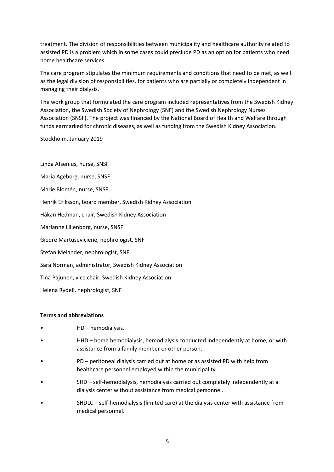treatment. The division of responsibilities between municipality and healthcare authority related to assisted PD is a problem which in some cases could preclude PD as an option for patients who need home healthcare services.

The care program stipulates the minimum requirements and conditions that need to be met, as well as the legal division of responsibilities, for patients who are partially or completely independent in managing their dialysis.

The work group that formulated the care program included representatives from the Swedish Kidney Association, the Swedish Society of Nephrology (SNF) and the Swedish Nephrology Nurses Association (SNSF). The project was financed by the National Board of Health and Welfare through funds earmarked for chronic diseases, as well as funding from the Swedish Kidney Association.

Stockholm, January 2019

Linda Afsenius, nurse, SNSF Maria Ageborg, nurse, SNSF Marie Blomén, nurse, SNSF Henrik Eriksson, board member, Swedish Kidney Association Håkan Hedman, chair, Swedish Kidney Association Marianne Liljenborg, nurse, SNSF Giedre Martuseviciene, nephrologist, SNF Stefan Melander, nephrologist, SNF Sara Norman, administrator, Swedish Kidney Association Tina Pajunen, vice chair, Swedish Kidney Association Helena Rydell, nephrologist, SNF

#### **Terms and abbreviations**

- HD hemodialysis.
- HHD home hemodialysis, hemodialysis conducted independently at home, or with assistance from a family member or other person.
- PD peritoneal dialysis carried out at home or as assisted PD with help from healthcare personnel employed within the municipality.
- SHD self-hemodialysis, hemodialysis carried out completely independently at a dialysis center without assistance from medical personnel.
- SHDLC self-hemodialysis (limited care) at the dialysis center with assistance from medical personnel.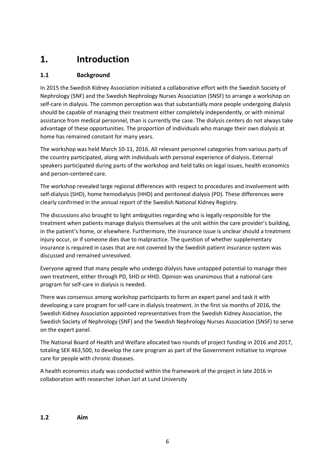# **1. Introduction**

#### **1.1 Background**

In 2015 the Swedish Kidney Association initiated a collaborative effort with the Swedish Society of Nephrology (SNF) and the Swedish Nephrology Nurses Association (SNSF) to arrange a workshop on self-care in dialysis. The common perception was that substantially more people undergoing dialysis should be capable of managing their treatment either completely independently, or with minimal assistance from medical personnel, than is currently the case. The dialysis centers do not always take advantage of these opportunities. The proportion of individuals who manage their own dialysis at home has remained constant for many years.

The workshop was held March 10-11, 2016. All relevant personnel categories from various parts of the country participated, along with individuals with personal experience of dialysis. External speakers participated during parts of the workshop and held talks on legal issues, health economics and person-centered care.

The workshop revealed large regional differences with respect to procedures and involvement with self-dialysis (SHD), home hemodialysis (HHD) and peritoneal dialysis (PD). These differences were clearly confirmed in the annual report of the Swedish National Kidney Registry.

The discussions also brought to light ambiguities regarding who is legally responsible for the treatment when patients manage dialysis themselves at the unit within the care provider's building, in the patient's home, or elsewhere. Furthermore, the insurance issue is unclear should a treatment injury occur, or if someone dies due to malpractice. The question of whether supplementary insurance is required in cases that are not covered by the Swedish patient insurance system was discussed and remained unresolved.

Everyone agreed that many people who undergo dialysis have untapped potential to manage their own treatment, either through PD, SHD or HHD. Opinion was unanimous that a national care program for self-care in dialysis is needed.

There was consensus among workshop participants to form an expert panel and task it with developing a care program for self-care in dialysis treatment. In the first six months of 2016, the Swedish Kidney Association appointed representatives from the Swedish Kidney Association, the Swedish Society of Nephrology (SNF) and the Swedish Nephrology Nurses Association (SNSF) to serve on the expert panel.

The National Board of Health and Welfare allocated two rounds of project funding in 2016 and 2017, totaling SEK 463,500, to develop the care program as part of the Government initiative to improve care for people with chronic diseases.

A health economics study was conducted within the framework of the project in late 2016 in collaboration with researcher Johan Jarl at Lund University

**1.2 Aim**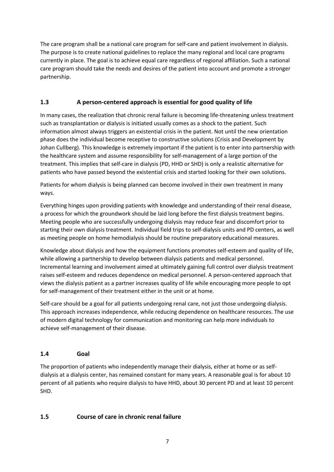The care program shall be a national care program for self-care and patient involvement in dialysis. The purpose is to create national guidelines to replace the many regional and local care programs currently in place. The goal is to achieve equal care regardless of regional affiliation. Such a national care program should take the needs and desires of the patient into account and promote a stronger partnership.

#### **1.3 A person-centered approach is essential for good quality of life**

In many cases, the realization that chronic renal failure is becoming life-threatening unless treatment such as transplantation or dialysis is initiated usually comes as a shock to the patient. Such information almost always triggers an existential crisis in the patient. Not until the new orientation phase does the individual become receptive to constructive solutions (Crisis and Development by Johan Cullberg). This knowledge is extremely important if the patient is to enter into partnership with the healthcare system and assume responsibility for self-management of a large portion of the treatment. This implies that self-care in dialysis (PD, HHD or SHD) is only a realistic alternative for patients who have passed beyond the existential crisis and started looking for their own solutions.

Patients for whom dialysis is being planned can become involved in their own treatment in many ways.

Everything hinges upon providing patients with knowledge and understanding of their renal disease, a process for which the groundwork should be laid long before the first dialysis treatment begins. Meeting people who are successfully undergoing dialysis may reduce fear and discomfort prior to starting their own dialysis treatment. Individual field trips to self-dialysis units and PD centers, as well as meeting people on home hemodialysis should be routine preparatory educational measures.

Knowledge about dialysis and how the equipment functions promotes self-esteem and quality of life, while allowing a partnership to develop between dialysis patients and medical personnel. Incremental learning and involvement aimed at ultimately gaining full control over dialysis treatment raises self-esteem and reduces dependence on medical personnel. A person-centered approach that views the dialysis patient as a partner increases quality of life while encouraging more people to opt for self-management of their treatment either in the unit or at home.

Self-care should be a goal for all patients undergoing renal care, not just those undergoing dialysis. This approach increases independence, while reducing dependence on healthcare resources. The use of modern digital technology for communication and monitoring can help more individuals to achieve self-management of their disease.

### **1.4 Goal**

The proportion of patients who independently manage their dialysis, either at home or as selfdialysis at a dialysis center, has remained constant for many years. A reasonable goal is for about 10 percent of all patients who require dialysis to have HHD, about 30 percent PD and at least 10 percent SHD.

### **1.5 Course of care in chronic renal failure**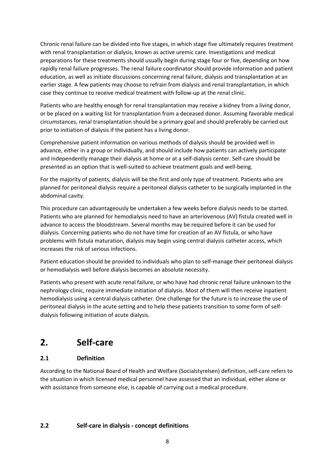Chronic renal failure can be divided into five stages, in which stage five ultimately requires treatment with renal transplantation or dialysis, known as active uremic care. Investigations and medical preparations for these treatments should usually begin during stage four or five, depending on how rapidly renal failure progresses. The renal failure coordinator should provide information and patient education, as well as initiate discussions concerning renal failure, dialysis and transplantation at an earlier stage. A few patients may choose to refrain from dialysis and renal transplantation, in which case they continue to receive medical treatment with follow-up at the renal clinic.

Patients who are healthy enough for renal transplantation may receive a kidney from a living donor, or be placed on a waiting list for transplantation from a deceased donor. Assuming favorable medical circumstances, renal transplantation should be a primary goal and should preferably be carried out prior to initiation of dialysis if the patient has a living donor.

Comprehensive patient information on various methods of dialysis should be provided well in advance, either in a group or individually, and should include how patients can actively participate and independently manage their dialysis at home or at a self-dialysis center. Self-care should be presented as an option that is well-suited to achieve treatment goals and well-being.

For the majority of patients, dialysis will be the first and only type of treatment. Patients who are planned for peritoneal dialysis require a peritoneal dialysis catheter to be surgically implanted in the abdominal cavity.

This procedure can advantageously be undertaken a few weeks before dialysis needs to be started. Patients who are planned for hemodialysis need to have an arteriovenous (AV) fistula created well in advance to access the bloodstream. Several months may be required before it can be used for dialysis. Concerning patients who do not have time for creation of an AV fistula, or who have problems with fistula maturation, dialysis may begin using central dialysis catheter access, which increases the risk of serious infections.

Patient education should be provided to individuals who plan to self-manage their peritoneal dialysis or hemodialysis well before dialysis becomes an absolute necessity.

Patients who present with acute renal failure, or who have had chronic renal failure unknown to the nephrology clinic, require immediate initiation of dialysis. Most of them will then receive inpatient hemodialysis using a central dialysis catheter. One challenge for the future is to increase the use of peritoneal dialysis in the acute setting and to help these patients transition to some form of selfdialysis following initiation of acute dialysis.

# **2. Self-care**

### **2.1 Definition**

According to the National Board of Health and Welfare (Socialstyrelsen) definition, self-care refers to the situation in which licensed medical personnel have assessed that an individual, either alone or with assistance from someone else, is capable of carrying out a medical procedure.

#### **2.2 Self-care in dialysis - concept definitions**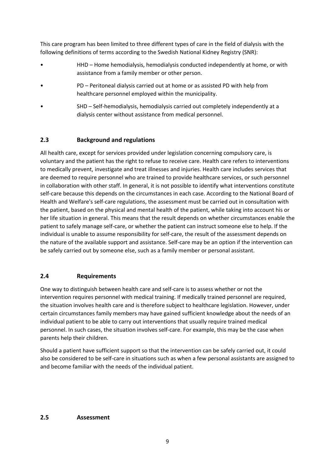This care program has been limited to three different types of care in the field of dialysis with the following definitions of terms according to the Swedish National Kidney Registry (SNR):

- HHD Home hemodialysis, hemodialysis conducted independently at home, or with assistance from a family member or other person.
- PD Peritoneal dialysis carried out at home or as assisted PD with help from healthcare personnel employed within the municipality.
- SHD Self-hemodialysis, hemodialysis carried out completely independently at a dialysis center without assistance from medical personnel.

#### **2.3 Background and regulations**

All health care, except for services provided under legislation concerning compulsory care, is voluntary and the patient has the right to refuse to receive care. Health care refers to interventions to medically prevent, investigate and treat illnesses and injuries. Health care includes services that are deemed to require personnel who are trained to provide healthcare services, or such personnel in collaboration with other staff. In general, it is not possible to identify what interventions constitute self-care because this depends on the circumstances in each case. According to the National Board of Health and Welfare's self-care regulations, the assessment must be carried out in consultation with the patient, based on the physical and mental health of the patient, while taking into account his or her life situation in general. This means that the result depends on whether circumstances enable the patient to safely manage self-care, or whether the patient can instruct someone else to help. If the individual is unable to assume responsibility for self-care, the result of the assessment depends on the nature of the available support and assistance. Self-care may be an option if the intervention can be safely carried out by someone else, such as a family member or personal assistant.

#### **2.4 Requirements**

One way to distinguish between health care and self-care is to assess whether or not the intervention requires personnel with medical training. If medically trained personnel are required, the situation involves health care and is therefore subject to healthcare legislation. However, under certain circumstances family members may have gained sufficient knowledge about the needs of an individual patient to be able to carry out interventions that usually require trained medical personnel. In such cases, the situation involves self-care. For example, this may be the case when parents help their children.

Should a patient have sufficient support so that the intervention can be safely carried out, it could also be considered to be self-care in situations such as when a few personal assistants are assigned to and become familiar with the needs of the individual patient.

#### **2.5 Assessment**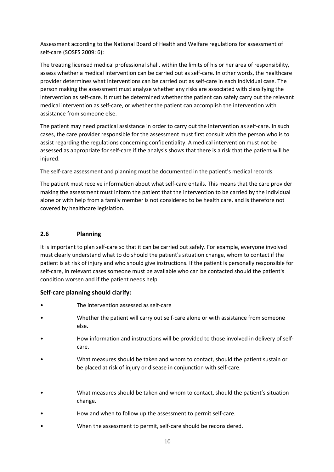Assessment according to the National Board of Health and Welfare regulations for assessment of self-care (SOSFS 2009: 6):

The treating licensed medical professional shall, within the limits of his or her area of responsibility, assess whether a medical intervention can be carried out as self-care. In other words, the healthcare provider determines what interventions can be carried out as self-care in each individual case. The person making the assessment must analyze whether any risks are associated with classifying the intervention as self-care. It must be determined whether the patient can safely carry out the relevant medical intervention as self-care, or whether the patient can accomplish the intervention with assistance from someone else.

The patient may need practical assistance in order to carry out the intervention as self-care. In such cases, the care provider responsible for the assessment must first consult with the person who is to assist regarding the regulations concerning confidentiality. A medical intervention must not be assessed as appropriate for self-care if the analysis shows that there is a risk that the patient will be injured.

The self-care assessment and planning must be documented in the patient's medical records.

The patient must receive information about what self-care entails. This means that the care provider making the assessment must inform the patient that the intervention to be carried by the individual alone or with help from a family member is not considered to be health care, and is therefore not covered by healthcare legislation.

#### **2.6 Planning**

It is important to plan self-care so that it can be carried out safely. For example, everyone involved must clearly understand what to do should the patient's situation change, whom to contact if the patient is at risk of injury and who should give instructions. If the patient is personally responsible for self-care, in relevant cases someone must be available who can be contacted should the patient's condition worsen and if the patient needs help.

#### **Self-care planning should clarify:**

- The intervention assessed as self-care
- Whether the patient will carry out self-care alone or with assistance from someone else.
- How information and instructions will be provided to those involved in delivery of selfcare.
- What measures should be taken and whom to contact, should the patient sustain or be placed at risk of injury or disease in conjunction with self-care.
- What measures should be taken and whom to contact, should the patient's situation change.
- How and when to follow up the assessment to permit self-care.
- When the assessment to permit, self-care should be reconsidered.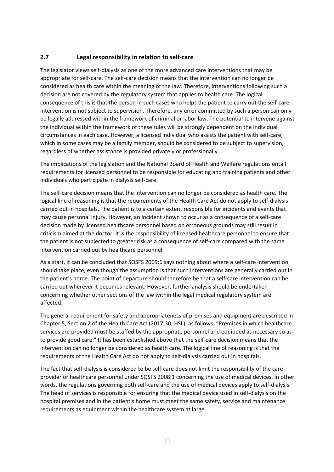#### **2.7 Legal responsibility in relation to self-care**

The legislator views self-dialysis as one of the more advanced care interventions that may be appropriate for self-care. The self-care decision means that the intervention can no longer be considered as health care within the meaning of the law. Therefore, interventions following such a decision are not covered by the regulatory system that applies to health care. The logical consequence of this is that the person in such cases who helps the patient to carry out the self-care intervention is not subject to supervision. Therefore, any error committed by such a person can only be legally addressed within the framework of criminal or labor law. The potential to intervene against the individual within the framework of these rules will be strongly dependent on the individual circumstances in each case. However, a licensed individual who assists the patient with self-care, which in some cases may be a family member, should be considered to be subject to supervision, regardless of whether assistance is provided privately or professionally.

The implications of the legislation and the National Board of Health and Welfare regulations entail requirements for licensed personnel to be responsible for educating and training patients and other individuals who participate in dialysis self-care.

The self-care decision means that the intervention can no longer be considered as health care. The logical line of reasoning is that the requirements of the Health Care Act do not apply to self-dialysis carried out in hospitals. The patient is to a certain extent responsible for incidents and events that may cause personal injury. However, an incident shown to occur as a consequence of a self-care decision made by licensed healthcare personnel based on erroneous grounds may still result in criticism aimed at the doctor. It is the responsibility of licensed healthcare personnel to ensure that the patient is not subjected to greater risk as a consequence of self-care compared with the same intervention carried out by healthcare personnel.

As a start, it can be concluded that SOSFS 2009:6 says nothing about where a self-care intervention should take place, even though the assumption is that such interventions are generally carried out in the patient's home. The point of departure should therefore be that a self-care intervention can be carried out wherever it becomes relevant. However, further analysis should be undertaken concerning whether other sections of the law within the legal medical regulatory system are affected.

The general requirement for safety and appropriateness of premises and equipment are described in Chapter 5, Section 2 of the Health Care Act (2017:30, HSL), as follows: "Premises in which healthcare services are provided must be staffed by the appropriate personnel and equipped as necessary so as to provide good care." It has been established above that the self-care decision means that the intervention can no longer be considered as health care. The logical line of reasoning is that the requirements of the Health Care Act do not apply to self-dialysis carried out in hospitals.

The fact that self-dialysis is considered to be self-care does not limit the responsibility of the care provider or healthcare personnel under SOSFS 2008:1 concerning the use of medical devices. In other words, the regulations governing both self-care and the use of medical devices apply to self-dialysis. The head of services is responsible for ensuring that the medical device used in self-dialysis on the hospital premises and in the patient's home must meet the same safety, service and maintenance requirements as equipment within the healthcare system at large.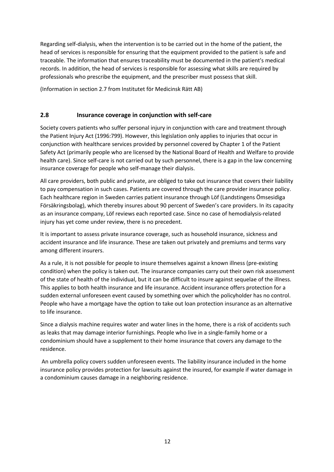Regarding self-dialysis, when the intervention is to be carried out in the home of the patient, the head of services is responsible for ensuring that the equipment provided to the patient is safe and traceable. The information that ensures traceability must be documented in the patient's medical records. In addition, the head of services is responsible for assessing what skills are required by professionals who prescribe the equipment, and the prescriber must possess that skill.

(Information in section 2.7 from Institutet för Medicinsk Rätt AB)

#### **2.8 Insurance coverage in conjunction with self-care**

Society covers patients who suffer personal injury in conjunction with care and treatment through the Patient Injury Act (1996:799). However, this legislation only applies to injuries that occur in conjunction with healthcare services provided by personnel covered by Chapter 1 of the Patient Safety Act (primarily people who are licensed by the National Board of Health and Welfare to provide health care). Since self-care is not carried out by such personnel, there is a gap in the law concerning insurance coverage for people who self-manage their dialysis.

All care providers, both public and private, are obliged to take out insurance that covers their liability to pay compensation in such cases. Patients are covered through the care provider insurance policy. Each healthcare region in Sweden carries patient insurance through Löf (Landstingens Ömsesidiga Försäkringsbolag), which thereby insures about 90 percent of Sweden's care providers. In its capacity as an insurance company, Löf reviews each reported case. Since no case of hemodialysis-related injury has yet come under review, there is no precedent.

It is important to assess private insurance coverage, such as household insurance, sickness and accident insurance and life insurance. These are taken out privately and premiums and terms vary among different insurers.

As a rule, it is not possible for people to insure themselves against a known illness (pre-existing condition) when the policy is taken out. The insurance companies carry out their own risk assessment of the state of health of the individual, but it can be difficult to insure against sequelae of the illness. This applies to both health insurance and life insurance. Accident insurance offers protection for a sudden external unforeseen event caused by something over which the policyholder has no control. People who have a mortgage have the option to take out loan protection insurance as an alternative to life insurance.

Since a dialysis machine requires water and water lines in the home, there is a risk of accidents such as leaks that may damage interior furnishings. People who live in a single-family home or a condominium should have a supplement to their home insurance that covers any damage to the residence.

An umbrella policy covers sudden unforeseen events. The liability insurance included in the home insurance policy provides protection for lawsuits against the insured, for example if water damage in a condominium causes damage in a neighboring residence.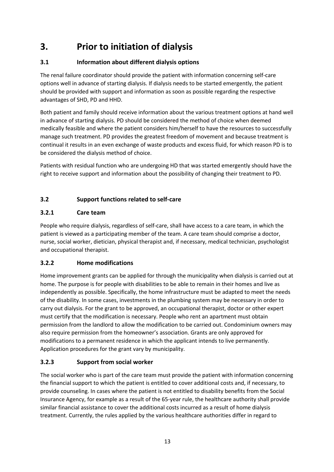# **3. Prior to initiation of dialysis**

# **3.1 Information about different dialysis options**

The renal failure coordinator should provide the patient with information concerning self-care options well in advance of starting dialysis. If dialysis needs to be started emergently, the patient should be provided with support and information as soon as possible regarding the respective advantages of SHD, PD and HHD.

Both patient and family should receive information about the various treatment options at hand well in advance of starting dialysis. PD should be considered the method of choice when deemed medically feasible and where the patient considers him/herself to have the resources to successfully manage such treatment. PD provides the greatest freedom of movement and because treatment is continual it results in an even exchange of waste products and excess fluid, for which reason PD is to be considered the dialysis method of choice.

Patients with residual function who are undergoing HD that was started emergently should have the right to receive support and information about the possibility of changing their treatment to PD.

# **3.2 Support functions related to self-care**

# **3.2.1 Care team**

People who require dialysis, regardless of self-care, shall have access to a care team, in which the patient is viewed as a participating member of the team. A care team should comprise a doctor, nurse, social worker, dietician, physical therapist and, if necessary, medical technician, psychologist and occupational therapist.

### **3.2.2 Home modifications**

Home improvement grants can be applied for through the municipality when dialysis is carried out at home. The purpose is for people with disabilities to be able to remain in their homes and live as independently as possible. Specifically, the home infrastructure must be adapted to meet the needs of the disability. In some cases, investments in the plumbing system may be necessary in order to carry out dialysis. For the grant to be approved, an occupational therapist, doctor or other expert must certify that the modification is necessary. People who rent an apartment must obtain permission from the landlord to allow the modification to be carried out. Condominium owners may also require permission from the homeowner's association. Grants are only approved for modifications to a permanent residence in which the applicant intends to live permanently. Application procedures for the grant vary by municipality.

# **3.2.3 Support from social worker**

The social worker who is part of the care team must provide the patient with information concerning the financial support to which the patient is entitled to cover additional costs and, if necessary, to provide counseling. In cases where the patient is not entitled to disability benefits from the Social Insurance Agency, for example as a result of the 65-year rule, the healthcare authority shall provide similar financial assistance to cover the additional costs incurred as a result of home dialysis treatment. Currently, the rules applied by the various healthcare authorities differ in regard to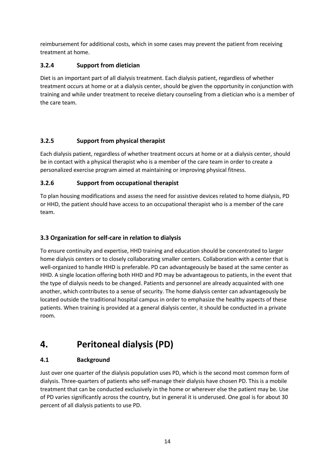reimbursement for additional costs, which in some cases may prevent the patient from receiving treatment at home.

### **3.2.4 Support from dietician**

Diet is an important part of all dialysis treatment. Each dialysis patient, regardless of whether treatment occurs at home or at a dialysis center, should be given the opportunity in conjunction with training and while under treatment to receive dietary counseling from a dietician who is a member of the care team.

### **3.2.5 Support from physical therapist**

Each dialysis patient, regardless of whether treatment occurs at home or at a dialysis center, should be in contact with a physical therapist who is a member of the care team in order to create a personalized exercise program aimed at maintaining or improving physical fitness.

#### **3.2.6 Support from occupational therapist**

To plan housing modifications and assess the need for assistive devices related to home dialysis, PD or HHD, the patient should have access to an occupational therapist who is a member of the care team.

#### **3.3 Organization for self-care in relation to dialysis**

To ensure continuity and expertise, HHD training and education should be concentrated to larger home dialysis centers or to closely collaborating smaller centers. Collaboration with a center that is well-organized to handle HHD is preferable. PD can advantageously be based at the same center as HHD. A single location offering both HHD and PD may be advantageous to patients, in the event that the type of dialysis needs to be changed. Patients and personnel are already acquainted with one another, which contributes to a sense of security. The home dialysis center can advantageously be located outside the traditional hospital campus in order to emphasize the healthy aspects of these patients. When training is provided at a general dialysis center, it should be conducted in a private room.

# **4. Peritoneal dialysis (PD)**

#### **4.1 Background**

Just over one quarter of the dialysis population uses PD, which is the second most common form of dialysis. Three-quarters of patients who self-manage their dialysis have chosen PD. This is a mobile treatment that can be conducted exclusively in the home or wherever else the patient may be. Use of PD varies significantly across the country, but in general it is underused. One goal is for about 30 percent of all dialysis patients to use PD.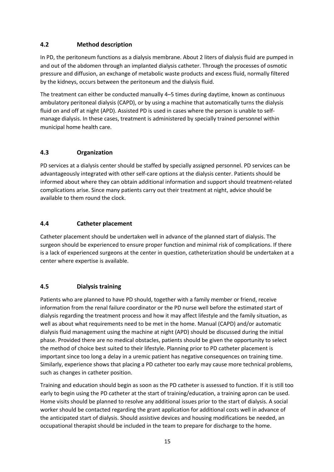#### **4.2 Method description**

In PD, the peritoneum functions as a dialysis membrane. About 2 liters of dialysis fluid are pumped in and out of the abdomen through an implanted dialysis catheter. Through the processes of osmotic pressure and diffusion, an exchange of metabolic waste products and excess fluid, normally filtered by the kidneys, occurs between the peritoneum and the dialysis fluid.

The treatment can either be conducted manually 4–5 times during daytime, known as continuous ambulatory peritoneal dialysis (CAPD), or by using a machine that automatically turns the dialysis fluid on and off at night (APD). Assisted PD is used in cases where the person is unable to selfmanage dialysis. In these cases, treatment is administered by specially trained personnel within municipal home health care.

#### **4.3 Organization**

PD services at a dialysis center should be staffed by specially assigned personnel. PD services can be advantageously integrated with other self-care options at the dialysis center. Patients should be informed about where they can obtain additional information and support should treatment-related complications arise. Since many patients carry out their treatment at night, advice should be available to them round the clock.

#### **4.4 Catheter placement**

Catheter placement should be undertaken well in advance of the planned start of dialysis. The surgeon should be experienced to ensure proper function and minimal risk of complications. If there is a lack of experienced surgeons at the center in question, catheterization should be undertaken at a center where expertise is available.

#### **4.5 Dialysis training**

Patients who are planned to have PD should, together with a family member or friend, receive information from the renal failure coordinator or the PD nurse well before the estimated start of dialysis regarding the treatment process and how it may affect lifestyle and the family situation, as well as about what requirements need to be met in the home. Manual (CAPD) and/or automatic dialysis fluid management using the machine at night (APD) should be discussed during the initial phase. Provided there are no medical obstacles, patients should be given the opportunity to select the method of choice best suited to their lifestyle. Planning prior to PD catheter placement is important since too long a delay in a uremic patient has negative consequences on training time. Similarly, experience shows that placing a PD catheter too early may cause more technical problems, such as changes in catheter position.

Training and education should begin as soon as the PD catheter is assessed to function. If it is still too early to begin using the PD catheter at the start of training/education, a training apron can be used. Home visits should be planned to resolve any additional issues prior to the start of dialysis. A social worker should be contacted regarding the grant application for additional costs well in advance of the anticipated start of dialysis. Should assistive devices and housing modifications be needed, an occupational therapist should be included in the team to prepare for discharge to the home.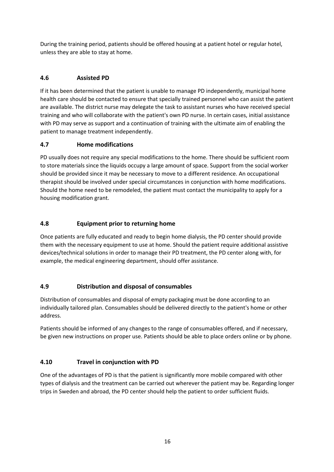During the training period, patients should be offered housing at a patient hotel or regular hotel, unless they are able to stay at home.

# **4.6 Assisted PD**

If it has been determined that the patient is unable to manage PD independently, municipal home health care should be contacted to ensure that specially trained personnel who can assist the patient are available. The district nurse may delegate the task to assistant nurses who have received special training and who will collaborate with the patient's own PD nurse. In certain cases, initial assistance with PD may serve as support and a continuation of training with the ultimate aim of enabling the patient to manage treatment independently.

#### **4.7 Home modifications**

PD usually does not require any special modifications to the home. There should be sufficient room to store materials since the liquids occupy a large amount of space. Support from the social worker should be provided since it may be necessary to move to a different residence. An occupational therapist should be involved under special circumstances in conjunction with home modifications. Should the home need to be remodeled, the patient must contact the municipality to apply for a housing modification grant.

#### **4.8 Equipment prior to returning home**

Once patients are fully educated and ready to begin home dialysis, the PD center should provide them with the necessary equipment to use at home. Should the patient require additional assistive devices/technical solutions in order to manage their PD treatment, the PD center along with, for example, the medical engineering department, should offer assistance.

### **4.9 Distribution and disposal of consumables**

Distribution of consumables and disposal of empty packaging must be done according to an individually tailored plan. Consumables should be delivered directly to the patient's home or other address.

Patients should be informed of any changes to the range of consumables offered, and if necessary, be given new instructions on proper use. Patients should be able to place orders online or by phone.

### **4.10 Travel in conjunction with PD**

One of the advantages of PD is that the patient is significantly more mobile compared with other types of dialysis and the treatment can be carried out wherever the patient may be. Regarding longer trips in Sweden and abroad, the PD center should help the patient to order sufficient fluids.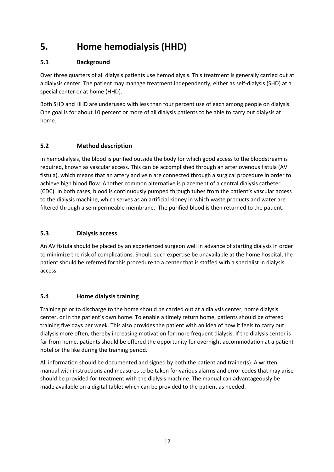# **5. Home hemodialysis (HHD)**

### **5.1 Background**

Over three quarters of all dialysis patients use hemodialysis. This treatment is generally carried out at a dialysis center. The patient may manage treatment independently, either as self-dialysis (SHD) at a special center or at home (HHD).

Both SHD and HHD are underused with less than four percent use of each among people on dialysis. One goal is for about 10 percent or more of all dialysis patients to be able to carry out dialysis at home.

### **5.2 Method description**

In hemodialysis, the blood is purified outside the body for which good access to the bloodstream is required, known as vascular access. This can be accomplished through an arteriovenous fistula (AV fistula), which means that an artery and vein are connected through a surgical procedure in order to achieve high blood flow. Another common alternative is placement of a central dialysis catheter (CDC). In both cases, blood is continuously pumped through tubes from the patient's vascular access to the dialysis machine, which serves as an artificial kidney in which waste products and water are filtered through a semipermeable membrane. The purified blood is then returned to the patient.

### **5.3 Dialysis access**

An AV fistula should be placed by an experienced surgeon well in advance of starting dialysis in order to minimize the risk of complications. Should such expertise be unavailable at the home hospital, the patient should be referred for this procedure to a center that is staffed with a specialist in dialysis access.

### **5.4 Home dialysis training**

Training prior to discharge to the home should be carried out at a dialysis center, home dialysis center, or in the patient's own home. To enable a timely return home, patients should be offered training five days per week. This also provides the patient with an idea of how it feels to carry out dialysis more often, thereby increasing motivation for more frequent dialysis. If the dialysis center is far from home, patients should be offered the opportunity for overnight accommodation at a patient hotel or the like during the training period.

All information should be documented and signed by both the patient and trainer(s). A written manual with instructions and measures to be taken for various alarms and error codes that may arise should be provided for treatment with the dialysis machine. The manual can advantageously be made available on a digital tablet which can be provided to the patient as needed.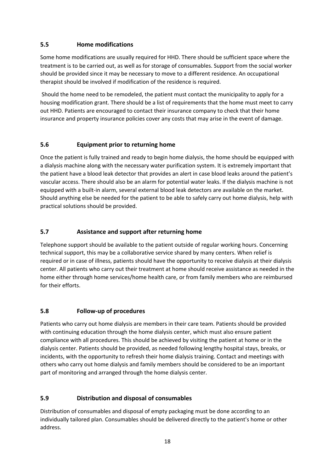#### **5.5 Home modifications**

Some home modifications are usually required for HHD. There should be sufficient space where the treatment is to be carried out, as well as for storage of consumables. Support from the social worker should be provided since it may be necessary to move to a different residence. An occupational therapist should be involved if modification of the residence is required.

Should the home need to be remodeled, the patient must contact the municipality to apply for a housing modification grant. There should be a list of requirements that the home must meet to carry out HHD. Patients are encouraged to contact their insurance company to check that their home insurance and property insurance policies cover any costs that may arise in the event of damage.

#### **5.6 Equipment prior to returning home**

Once the patient is fully trained and ready to begin home dialysis, the home should be equipped with a dialysis machine along with the necessary water purification system. It is extremely important that the patient have a blood leak detector that provides an alert in case blood leaks around the patient's vascular access. There should also be an alarm for potential water leaks. If the dialysis machine is not equipped with a built-in alarm, several external blood leak detectors are available on the market. Should anything else be needed for the patient to be able to safely carry out home dialysis, help with practical solutions should be provided.

#### **5.7 Assistance and support after returning home**

Telephone support should be available to the patient outside of regular working hours. Concerning technical support, this may be a collaborative service shared by many centers. When relief is required or in case of illness, patients should have the opportunity to receive dialysis at their dialysis center. All patients who carry out their treatment at home should receive assistance as needed in the home either through home services/home health care, or from family members who are reimbursed for their efforts.

#### **5.8 Follow-up of procedures**

Patients who carry out home dialysis are members in their care team. Patients should be provided with continuing education through the home dialysis center, which must also ensure patient compliance with all procedures. This should be achieved by visiting the patient at home or in the dialysis center. Patients should be provided, as needed following lengthy hospital stays, breaks, or incidents, with the opportunity to refresh their home dialysis training. Contact and meetings with others who carry out home dialysis and family members should be considered to be an important part of monitoring and arranged through the home dialysis center.

#### **5.9 Distribution and disposal of consumables**

Distribution of consumables and disposal of empty packaging must be done according to an individually tailored plan. Consumables should be delivered directly to the patient's home or other address.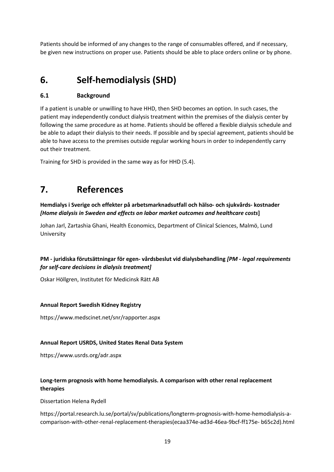Patients should be informed of any changes to the range of consumables offered, and if necessary, be given new instructions on proper use. Patients should be able to place orders online or by phone.

# **6. Self-hemodialysis (SHD)**

#### **6.1 Background**

If a patient is unable or unwilling to have HHD, then SHD becomes an option. In such cases, the patient may independently conduct dialysis treatment within the premises of the dialysis center by following the same procedure as at home. Patients should be offered a flexible dialysis schedule and be able to adapt their dialysis to their needs. If possible and by special agreement, patients should be able to have access to the premises outside regular working hours in order to independently carry out their treatment.

Training for SHD is provided in the same way as for HHD (5.4).

# **7. References**

**Hemdialys i Sverige och effekter på arbetsmarknadsutfall och hälso- och sjukvårds- kostnader**  *[Home dialysis in Sweden and effects on labor market outcomes and healthcare costs***]**

Johan Jarl, Zartashia Ghani, Health Economics, Department of Clinical Sciences, Malmö, Lund University

#### **PM - juridiska förutsättningar för egen- vårdsbeslut vid dialysbehandling** *[PM - legal requirements for self-care decisions in dialysis treatment]*

Oskar Höllgren, Institutet för Medicinsk Rätt AB

#### **Annual Report Swedish Kidney Registry**

https://www.medscinet.net/snr/rapporter.aspx

#### **Annual Report USRDS, United States Renal Data System**

https://www.usrds.org/adr.aspx

#### **Long-term prognosis with home hemodialysis. A comparison with other renal replacement therapies**

Dissertation Helena Rydell

https://portal.research.lu.se/portal/sv/publications/longterm-prognosis-with-home-hemodialysis-acomparison-with-other-renal-replacement-therapies(ecaa374e-ad3d-46ea-9bcf-ff175e- b65c2d).html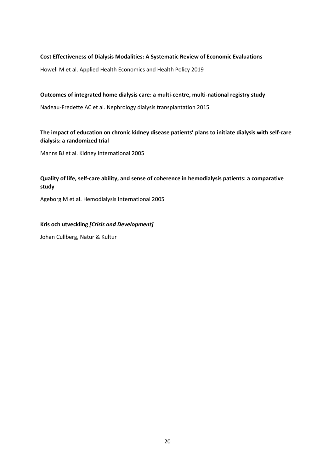#### **Cost Effectiveness of Dialysis Modalities: A Systematic Review of Economic Evaluations**

Howell M et al. Applied Health Economics and Health Policy 2019

#### **Outcomes of integrated home dialysis care: a multi-centre, multi-national registry study**

Nadeau-Fredette AC et al. Nephrology dialysis transplantation 2015

#### **The impact of education on chronic kidney disease patients' plans to initiate dialysis with self-care dialysis: a randomized trial**

Manns BJ et al. Kidney International 2005

#### **Quality of life, self-care ability, and sense of coherence in hemodialysis patients: a comparative study**

Ageborg M et al. Hemodialysis International 2005

#### **Kris och utveckling** *[Crisis and Development]*

Johan Cullberg, Natur & Kultur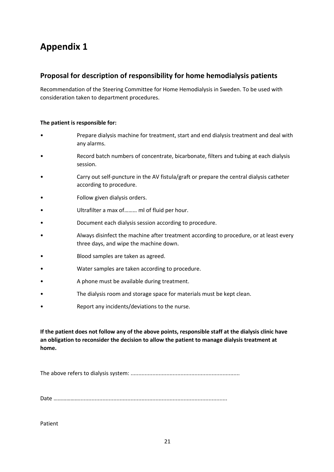# **Proposal for description of responsibility for home hemodialysis patients**

Recommendation of the Steering Committee for Home Hemodialysis in Sweden. To be used with consideration taken to department procedures.

#### **The patient is responsible for:**

- Prepare dialysis machine for treatment, start and end dialysis treatment and deal with any alarms.
- Record batch numbers of concentrate, bicarbonate, filters and tubing at each dialysis session.
- Carry out self-puncture in the AV fistula/graft or prepare the central dialysis catheter according to procedure.
- Follow given dialysis orders.
- Ultrafilter a max of......... ml of fluid per hour.
- Document each dialysis session according to procedure.
- Always disinfect the machine after treatment according to procedure, or at least every three days, and wipe the machine down.
- Blood samples are taken as agreed.
- Water samples are taken according to procedure.
- A phone must be available during treatment.
- The dialysis room and storage space for materials must be kept clean.
- Report any incidents/deviations to the nurse.

**If the patient does not follow any of the above points, responsible staff at the dialysis clinic have an obligation to reconsider the decision to allow the patient to manage dialysis treatment at home.**

The above refers to dialysis system: ......................................................................

Date ………………...............................................................................................

Patient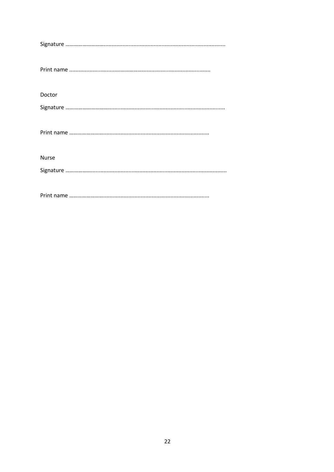| Doctor       |
|--------------|
|              |
|              |
|              |
|              |
| <b>Nurse</b> |
|              |
|              |
|              |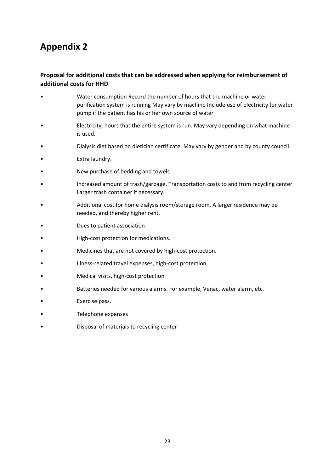#### **Proposal for additional costs that can be addressed when applying for reimbursement of additional costs for HHD**

- Water consumption Record the number of hours that the machine or water purification system is running May vary by machine Include use of electricity for water pump if the patient has his or her own source of water
- Electricity, hours that the entire system is run. May vary depending on what machine is used.
- Dialysis diet based on dietician certificate. May vary by gender and by county council.
- Extra laundry.
- New purchase of bedding and towels.
- Increased amount of trash/garbage. Transportation costs to and from recycling center Larger trash container if necessary.
- Additional cost for home dialysis room/storage room. A larger residence may be needed, and thereby higher rent.
- Dues to patient association
- High-cost protection for medications.
- Medicines that are not covered by high-cost protection.
- Illness-related travel expenses, high-cost protection.
- Medical visits, high-cost protection
- Batteries needed for various alarms. For example, Venac, water alarm, etc.
- Exercise pass.
- Telephone expenses
- Disposal of materials to recycling center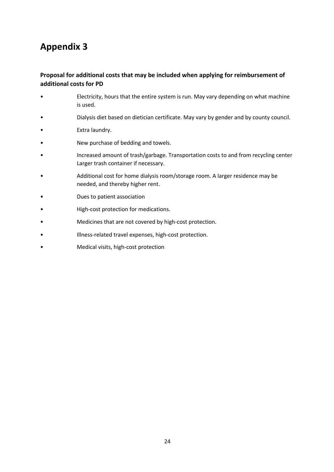### **Proposal for additional costs that may be included when applying for reimbursement of additional costs for PD**

- Electricity, hours that the entire system is run. May vary depending on what machine is used.
- Dialysis diet based on dietician certificate. May vary by gender and by county council.
- Extra laundry.
- New purchase of bedding and towels.
- Increased amount of trash/garbage. Transportation costs to and from recycling center Larger trash container if necessary.
- Additional cost for home dialysis room/storage room. A larger residence may be needed, and thereby higher rent.
- Dues to patient association
- High-cost protection for medications.
- Medicines that are not covered by high-cost protection.
- Illness-related travel expenses, high-cost protection.
- Medical visits, high-cost protection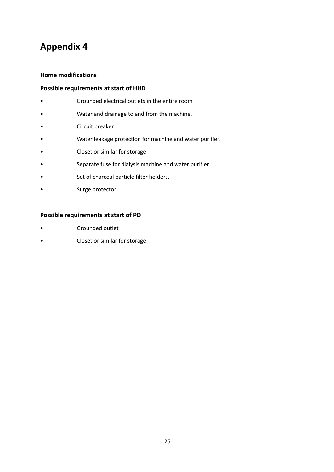#### **Home modifications**

#### **Possible requirements at start of HHD**

- Grounded electrical outlets in the entire room
- Water and drainage to and from the machine.
- Circuit breaker
- Water leakage protection for machine and water purifier.
- Closet or similar for storage
- Separate fuse for dialysis machine and water purifier
- Set of charcoal particle filter holders.
- Surge protector

#### **Possible requirements at start of PD**

- Grounded outlet
- Closet or similar for storage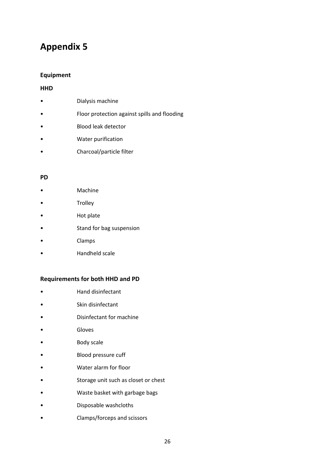#### **Equipment**

#### **HHD**

- Dialysis machine
- Floor protection against spills and flooding
- Blood leak detector
- Water purification
- Charcoal/particle filter

#### **PD**

- Machine
- **Trolley**
- Hot plate
- Stand for bag suspension
- Clamps
- Handheld scale

#### **Requirements for both HHD and PD**

- Hand disinfectant
- Skin disinfectant
- Disinfectant for machine
- **Gloves**
- Body scale
- Blood pressure cuff
- Water alarm for floor
- Storage unit such as closet or chest
- Waste basket with garbage bags
- Disposable washcloths
- Clamps/forceps and scissors